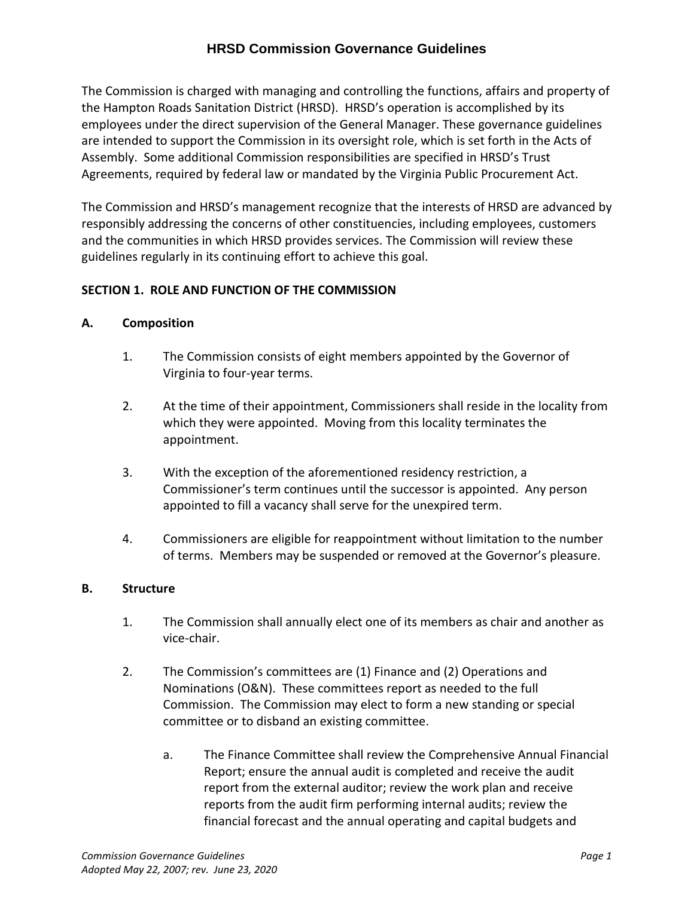The Commission is charged with managing and controlling the functions, affairs and property of the Hampton Roads Sanitation District (HRSD). HRSD's operation is accomplished by its employees under the direct supervision of the General Manager. These governance guidelines are intended to support the Commission in its oversight role, which is set forth in the Acts of Assembly. Some additional Commission responsibilities are specified in HRSD's Trust Agreements, required by federal law or mandated by the Virginia Public Procurement Act.

The Commission and HRSD's management recognize that the interests of HRSD are advanced by responsibly addressing the concerns of other constituencies, including employees, customers and the communities in which HRSD provides services. The Commission will review these guidelines regularly in its continuing effort to achieve this goal.

## **SECTION 1. ROLE AND FUNCTION OF THE COMMISSION**

#### **A. Composition**

- 1. The Commission consists of eight members appointed by the Governor of Virginia to four-year terms.
- 2. At the time of their appointment, Commissioners shall reside in the locality from which they were appointed. Moving from this locality terminates the appointment.
- 3. With the exception of the aforementioned residency restriction, a Commissioner's term continues until the successor is appointed. Any person appointed to fill a vacancy shall serve for the unexpired term.
- 4. Commissioners are eligible for reappointment without limitation to the number of terms. Members may be suspended or removed at the Governor's pleasure.

#### **B. Structure**

- 1. The Commission shall annually elect one of its members as chair and another as vice-chair.
- 2. The Commission's committees are (1) Finance and (2) Operations and Nominations (O&N). These committees report as needed to the full Commission. The Commission may elect to form a new standing or special committee or to disband an existing committee.
	- a. The Finance Committee shall review the Comprehensive Annual Financial Report; ensure the annual audit is completed and receive the audit report from the external auditor; review the work plan and receive reports from the audit firm performing internal audits; review the financial forecast and the annual operating and capital budgets and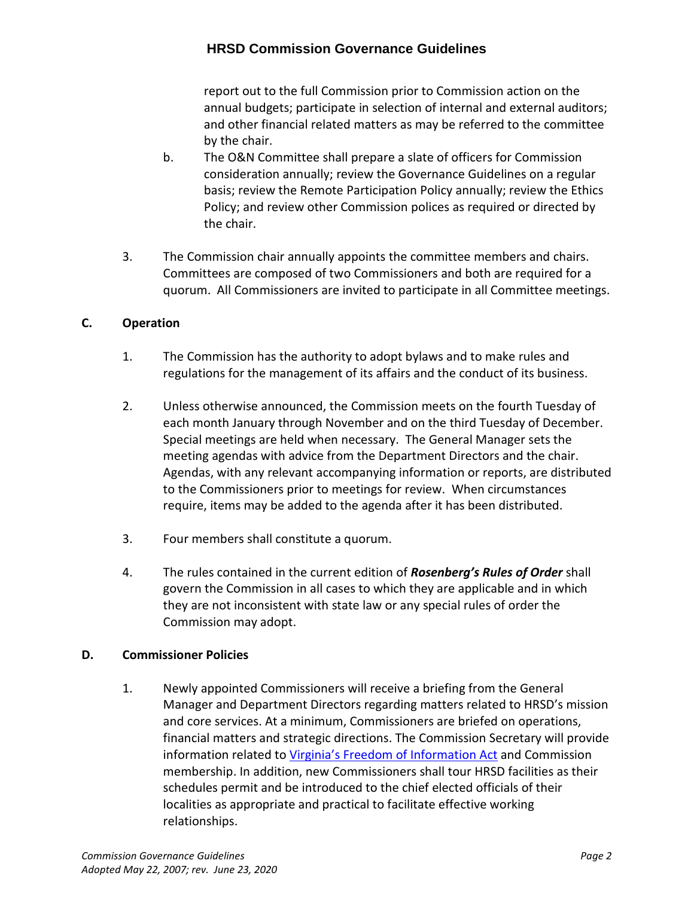report out to the full Commission prior to Commission action on the annual budgets; participate in selection of internal and external auditors; and other financial related matters as may be referred to the committee by the chair.

- b. The O&N Committee shall prepare a slate of officers for Commission consideration annually; review the Governance Guidelines on a regular basis; review the Remote Participation Policy annually; review the Ethics Policy; and review other Commission polices as required or directed by the chair.
- 3. The Commission chair annually appoints the committee members and chairs. Committees are composed of two Commissioners and both are required for a quorum. All Commissioners are invited to participate in all Committee meetings.

## **C. Operation**

- 1. The Commission has the authority to adopt bylaws and to make rules and regulations for the management of its affairs and the conduct of its business.
- 2. Unless otherwise announced, the Commission meets on the fourth Tuesday of each month January through November and on the third Tuesday of December. Special meetings are held when necessary. The General Manager sets the meeting agendas with advice from the Department Directors and the chair. Agendas, with any relevant accompanying information or reports, are distributed to the Commissioners prior to meetings for review. When circumstances require, items may be added to the agenda after it has been distributed.
- 3. Four members shall constitute a quorum.
- 4. The rules contained in the current edition of *Rosenberg's Rules of Order* shall govern the Commission in all cases to which they are applicable and in which they are not inconsistent with state law or any special rules of order the Commission may adopt.

### **D. Commissioner Policies**

1. Newly appointed Commissioners will receive a briefing from the General Manager and Department Directors regarding matters related to HRSD's mission and core services. At a minimum, Commissioners are briefed on operations, financial matters and strategic directions. The Commission Secretary will provide information related to [Virginia's Freedom of Information Act](http://foiacouncil.dls.virginia.gov/) and Commission membership. In addition, new Commissioners shall tour HRSD facilities as their schedules permit and be introduced to the chief elected officials of their localities as appropriate and practical to facilitate effective working relationships.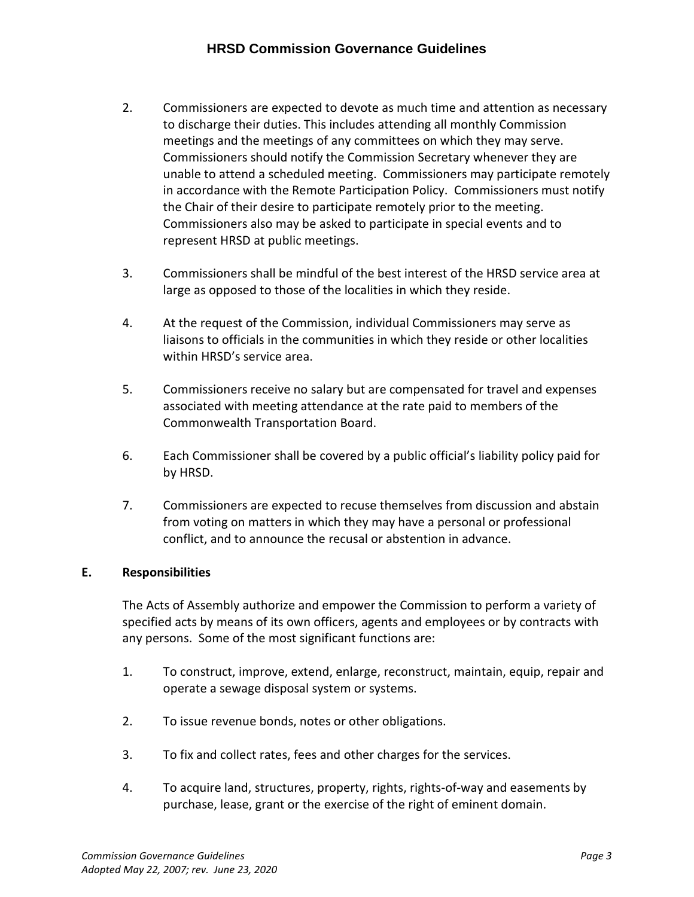- 2. Commissioners are expected to devote as much time and attention as necessary to discharge their duties. This includes attending all monthly Commission meetings and the meetings of any committees on which they may serve. Commissioners should notify the Commission Secretary whenever they are unable to attend a scheduled meeting. Commissioners may participate remotely in accordance with the Remote Participation Policy. Commissioners must notify the Chair of their desire to participate remotely prior to the meeting. Commissioners also may be asked to participate in special events and to represent HRSD at public meetings.
- 3. Commissioners shall be mindful of the best interest of the HRSD service area at large as opposed to those of the localities in which they reside.
- 4. At the request of the Commission, individual Commissioners may serve as liaisons to officials in the communities in which they reside or other localities within HRSD's service area.
- 5. Commissioners receive no salary but are compensated for travel and expenses associated with meeting attendance at the rate paid to members of the Commonwealth Transportation Board.
- 6. Each Commissioner shall be covered by a public official's liability policy paid for by HRSD.
- 7. Commissioners are expected to recuse themselves from discussion and abstain from voting on matters in which they may have a personal or professional conflict, and to announce the recusal or abstention in advance.

## **E. Responsibilities**

The Acts of Assembly authorize and empower the Commission to perform a variety of specified acts by means of its own officers, agents and employees or by contracts with any persons. Some of the most significant functions are:

- 1. To construct, improve, extend, enlarge, reconstruct, maintain, equip, repair and operate a sewage disposal system or systems.
- 2. To issue revenue bonds, notes or other obligations.
- 3. To fix and collect rates, fees and other charges for the services.
- 4. To acquire land, structures, property, rights, rights-of-way and easements by purchase, lease, grant or the exercise of the right of eminent domain.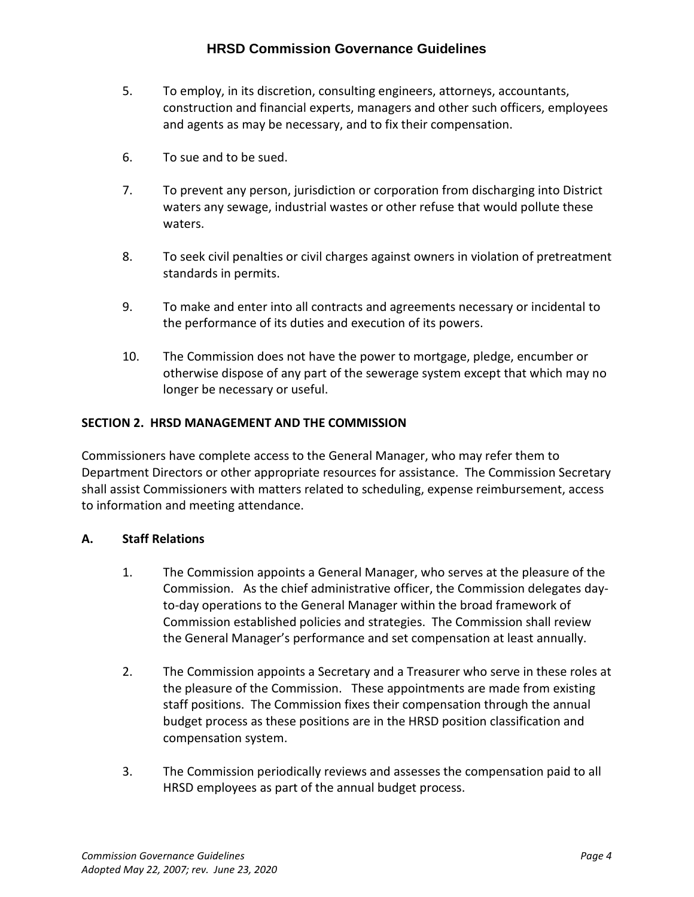- 5. To employ, in its discretion, consulting engineers, attorneys, accountants, construction and financial experts, managers and other such officers, employees and agents as may be necessary, and to fix their compensation.
- 6. To sue and to be sued.
- 7. To prevent any person, jurisdiction or corporation from discharging into District waters any sewage, industrial wastes or other refuse that would pollute these waters.
- 8. To seek civil penalties or civil charges against owners in violation of pretreatment standards in permits.
- 9. To make and enter into all contracts and agreements necessary or incidental to the performance of its duties and execution of its powers.
- 10. The Commission does not have the power to mortgage, pledge, encumber or otherwise dispose of any part of the sewerage system except that which may no longer be necessary or useful.

# **SECTION 2. HRSD MANAGEMENT AND THE COMMISSION**

Commissioners have complete access to the General Manager, who may refer them to Department Directors or other appropriate resources for assistance. The Commission Secretary shall assist Commissioners with matters related to scheduling, expense reimbursement, access to information and meeting attendance.

## **A. Staff Relations**

- 1. The Commission appoints a General Manager, who serves at the pleasure of the Commission. As the chief administrative officer, the Commission delegates dayto-day operations to the General Manager within the broad framework of Commission established policies and strategies. The Commission shall review the General Manager's performance and set compensation at least annually.
- 2. The Commission appoints a Secretary and a Treasurer who serve in these roles at the pleasure of the Commission. These appointments are made from existing staff positions. The Commission fixes their compensation through the annual budget process as these positions are in the HRSD position classification and compensation system.
- 3. The Commission periodically reviews and assesses the compensation paid to all HRSD employees as part of the annual budget process.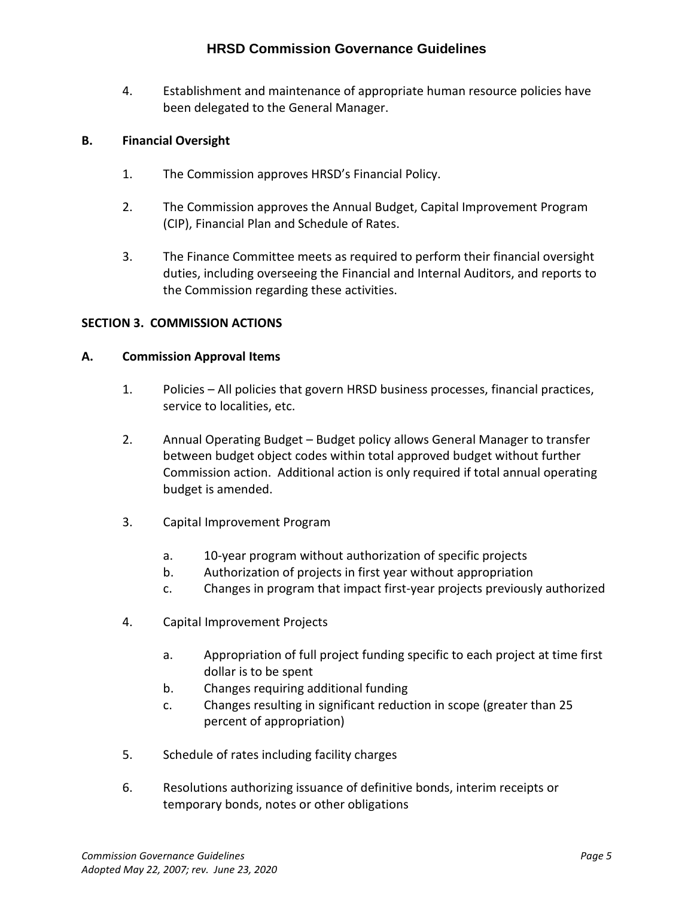4. Establishment and maintenance of appropriate human resource policies have been delegated to the General Manager.

## **B. Financial Oversight**

- 1. The Commission approves HRSD's Financial Policy.
- 2. The Commission approves the Annual Budget, Capital Improvement Program (CIP), Financial Plan and Schedule of Rates.
- 3. The Finance Committee meets as required to perform their financial oversight duties, including overseeing the Financial and Internal Auditors, and reports to the Commission regarding these activities.

## **SECTION 3. COMMISSION ACTIONS**

### **A. Commission Approval Items**

- 1. Policies All policies that govern HRSD business processes, financial practices, service to localities, etc.
- 2. Annual Operating Budget Budget policy allows General Manager to transfer between budget object codes within total approved budget without further Commission action. Additional action is only required if total annual operating budget is amended.
- 3. Capital Improvement Program
	- a. 10-year program without authorization of specific projects
	- b. Authorization of projects in first year without appropriation
	- c. Changes in program that impact first-year projects previously authorized
- 4. Capital Improvement Projects
	- a. Appropriation of full project funding specific to each project at time first dollar is to be spent
	- b. Changes requiring additional funding
	- c. Changes resulting in significant reduction in scope (greater than 25 percent of appropriation)
- 5. Schedule of rates including facility charges
- 6. Resolutions authorizing issuance of definitive bonds, interim receipts or temporary bonds, notes or other obligations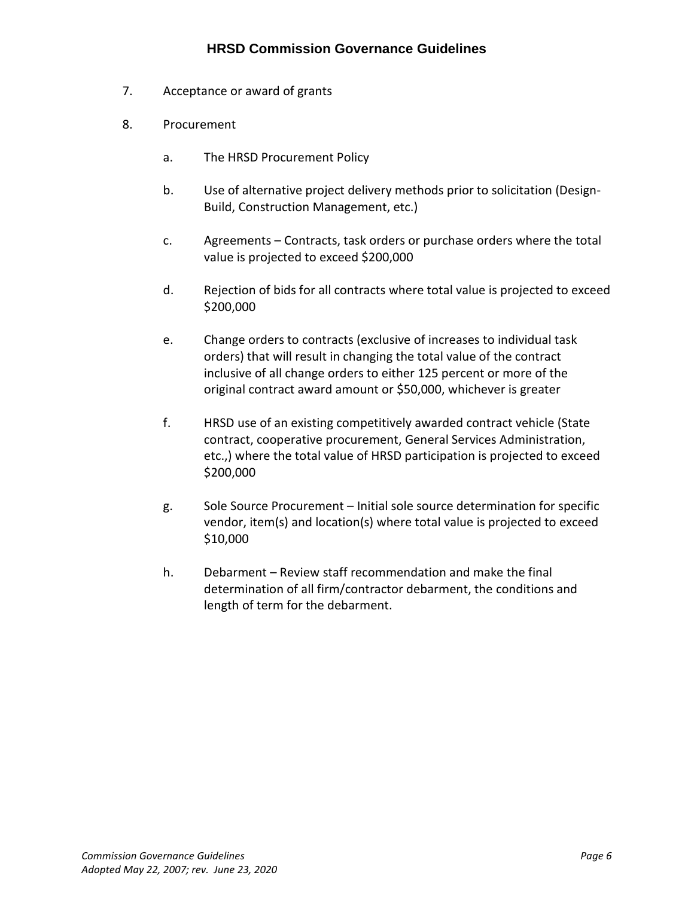- 7. Acceptance or award of grants
- 8. Procurement
	- a. The HRSD Procurement Policy
	- b. Use of alternative project delivery methods prior to solicitation (Design-Build, Construction Management, etc.)
	- c. Agreements Contracts, task orders or purchase orders where the total value is projected to exceed \$200,000
	- d. Rejection of bids for all contracts where total value is projected to exceed \$200,000
	- e. Change orders to contracts (exclusive of increases to individual task orders) that will result in changing the total value of the contract inclusive of all change orders to either 125 percent or more of the original contract award amount or \$50,000, whichever is greater
	- f. HRSD use of an existing competitively awarded contract vehicle (State contract, cooperative procurement, General Services Administration, etc.,) where the total value of HRSD participation is projected to exceed \$200,000
	- g. Sole Source Procurement Initial sole source determination for specific vendor, item(s) and location(s) where total value is projected to exceed \$10,000
	- h. Debarment Review staff recommendation and make the final determination of all firm/contractor debarment, the conditions and length of term for the debarment.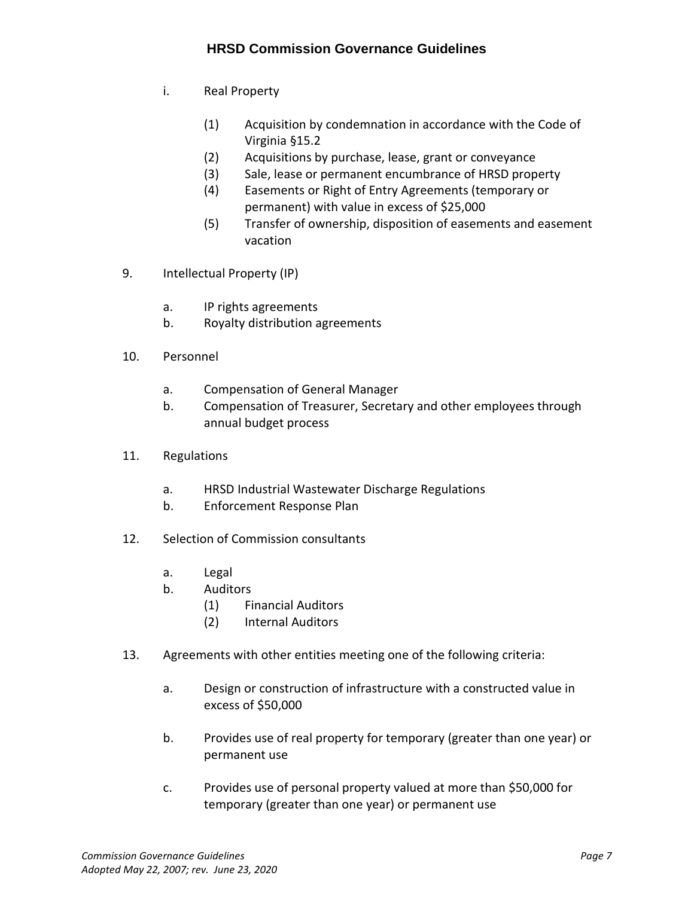- i. Real Property
	- (1) Acquisition by condemnation in accordance with the Code of Virginia §15.2
	- (2) Acquisitions by purchase, lease, grant or conveyance
	- (3) Sale, lease or permanent encumbrance of HRSD property
	- (4) Easements or Right of Entry Agreements (temporary or permanent) with value in excess of \$25,000
	- (5) Transfer of ownership, disposition of easements and easement vacation
- 9. Intellectual Property (IP)
	- a. IP rights agreements
	- b. Royalty distribution agreements
- 10. Personnel
	- a. Compensation of General Manager
	- b. Compensation of Treasurer, Secretary and other employees through annual budget process
- 11. Regulations
	- a. HRSD Industrial Wastewater Discharge Regulations
	- b. Enforcement Response Plan
- 12. Selection of Commission consultants
	- a. Legal
	- b. Auditors
		- (1) Financial Auditors
		- (2) Internal Auditors
- 13. Agreements with other entities meeting one of the following criteria:
	- a. Design or construction of infrastructure with a constructed value in excess of \$50,000
	- b. Provides use of real property for temporary (greater than one year) or permanent use
	- c. Provides use of personal property valued at more than \$50,000 for temporary (greater than one year) or permanent use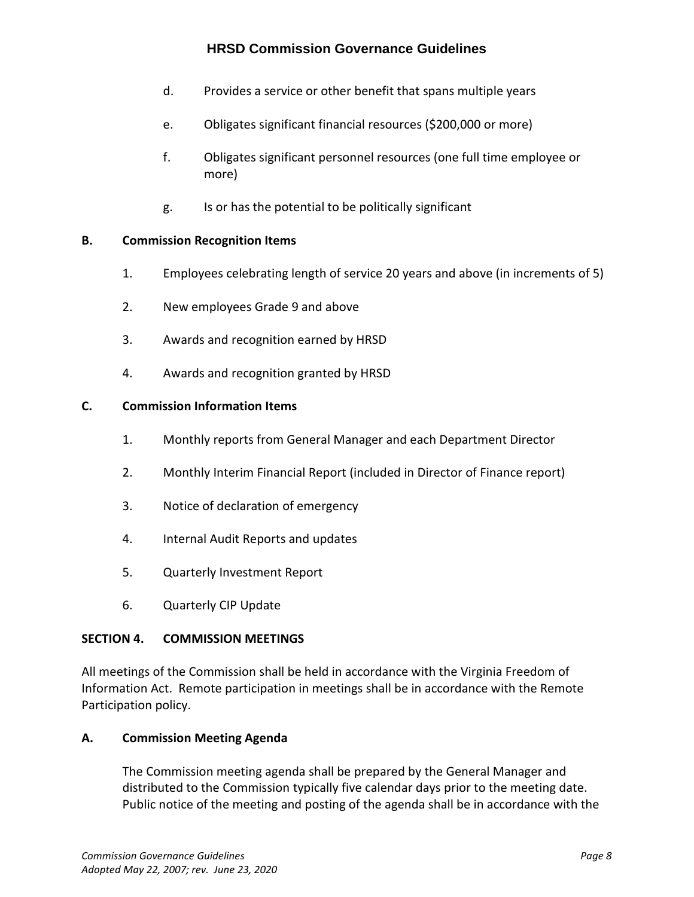- d. Provides a service or other benefit that spans multiple years
- e. Obligates significant financial resources (\$200,000 or more)
- f. Obligates significant personnel resources (one full time employee or more)
- g. Is or has the potential to be politically significant

#### **B. Commission Recognition Items**

- 1. Employees celebrating length of service 20 years and above (in increments of 5)
- 2. New employees Grade 9 and above
- 3. Awards and recognition earned by HRSD
- 4. Awards and recognition granted by HRSD

#### **C. Commission Information Items**

- 1. Monthly reports from General Manager and each Department Director
- 2. Monthly Interim Financial Report (included in Director of Finance report)
- 3. Notice of declaration of emergency
- 4. Internal Audit Reports and updates
- 5. Quarterly Investment Report
- 6. Quarterly CIP Update

#### **SECTION 4. COMMISSION MEETINGS**

All meetings of the Commission shall be held in accordance with the Virginia Freedom of Information Act. Remote participation in meetings shall be in accordance with the Remote Participation policy.

#### **A. Commission Meeting Agenda**

The Commission meeting agenda shall be prepared by the General Manager and distributed to the Commission typically five calendar days prior to the meeting date. Public notice of the meeting and posting of the agenda shall be in accordance with the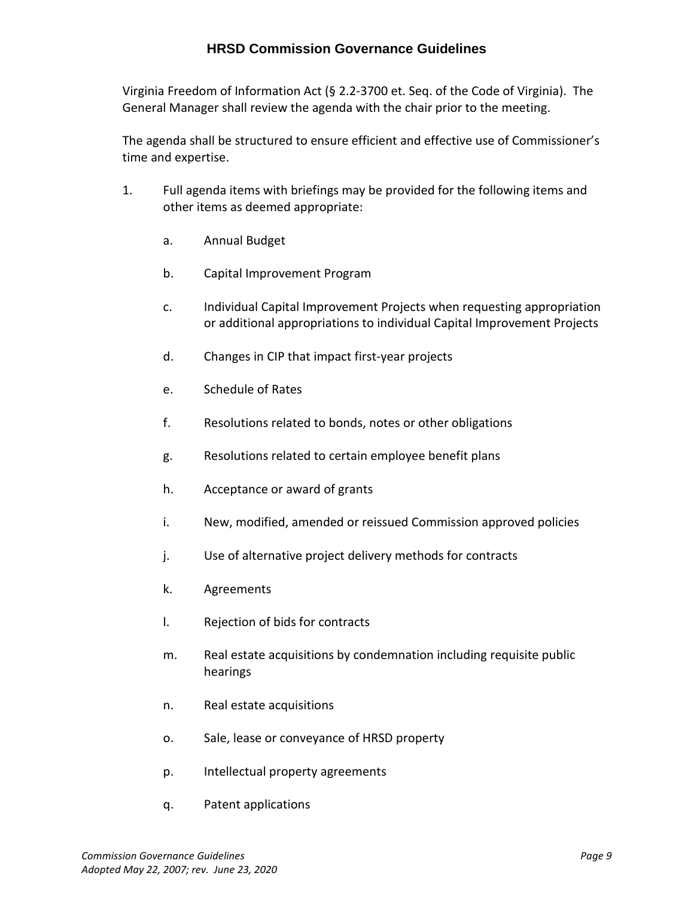Virginia Freedom of Information Act (§ 2.2-3700 et. Seq. of the Code of Virginia). The General Manager shall review the agenda with the chair prior to the meeting.

The agenda shall be structured to ensure efficient and effective use of Commissioner's time and expertise.

- 1. Full agenda items with briefings may be provided for the following items and other items as deemed appropriate:
	- a. Annual Budget
	- b. Capital Improvement Program
	- c. Individual Capital Improvement Projects when requesting appropriation or additional appropriations to individual Capital Improvement Projects
	- d. Changes in CIP that impact first-year projects
	- e. Schedule of Rates
	- f. Resolutions related to bonds, notes or other obligations
	- g. Resolutions related to certain employee benefit plans
	- h. Acceptance or award of grants
	- i. New, modified, amended or reissued Commission approved policies
	- j. Use of alternative project delivery methods for contracts
	- k. Agreements
	- l. Rejection of bids for contracts
	- m. Real estate acquisitions by condemnation including requisite public hearings
	- n. Real estate acquisitions
	- o. Sale, lease or conveyance of HRSD property
	- p. Intellectual property agreements
	- q. Patent applications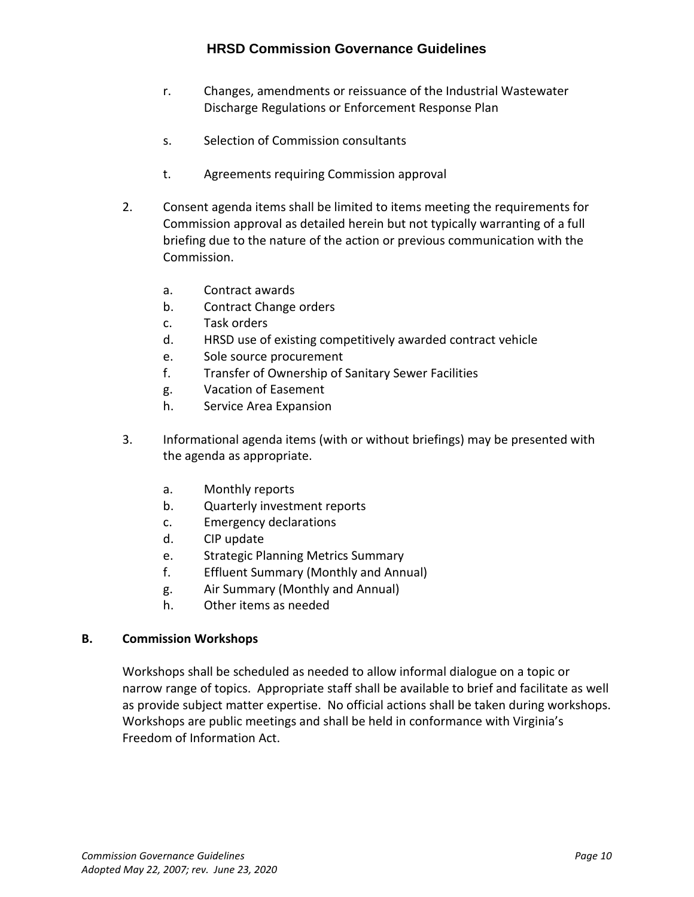- r. Changes, amendments or reissuance of the Industrial Wastewater Discharge Regulations or Enforcement Response Plan
- s. Selection of Commission consultants
- t. Agreements requiring Commission approval
- 2. Consent agenda items shall be limited to items meeting the requirements for Commission approval as detailed herein but not typically warranting of a full briefing due to the nature of the action or previous communication with the Commission.
	- a. Contract awards
	- b. Contract Change orders
	- c. Task orders
	- d. HRSD use of existing competitively awarded contract vehicle
	- e. Sole source procurement
	- f. Transfer of Ownership of Sanitary Sewer Facilities
	- g. Vacation of Easement
	- h. Service Area Expansion
- 3. Informational agenda items (with or without briefings) may be presented with the agenda as appropriate.
	- a. Monthly reports
	- b. Quarterly investment reports
	- c. Emergency declarations
	- d. CIP update
	- e. Strategic Planning Metrics Summary
	- f. Effluent Summary (Monthly and Annual)
	- g. Air Summary (Monthly and Annual)
	- h. Other items as needed

### **B. Commission Workshops**

Workshops shall be scheduled as needed to allow informal dialogue on a topic or narrow range of topics. Appropriate staff shall be available to brief and facilitate as well as provide subject matter expertise. No official actions shall be taken during workshops. Workshops are public meetings and shall be held in conformance with Virginia's Freedom of Information Act.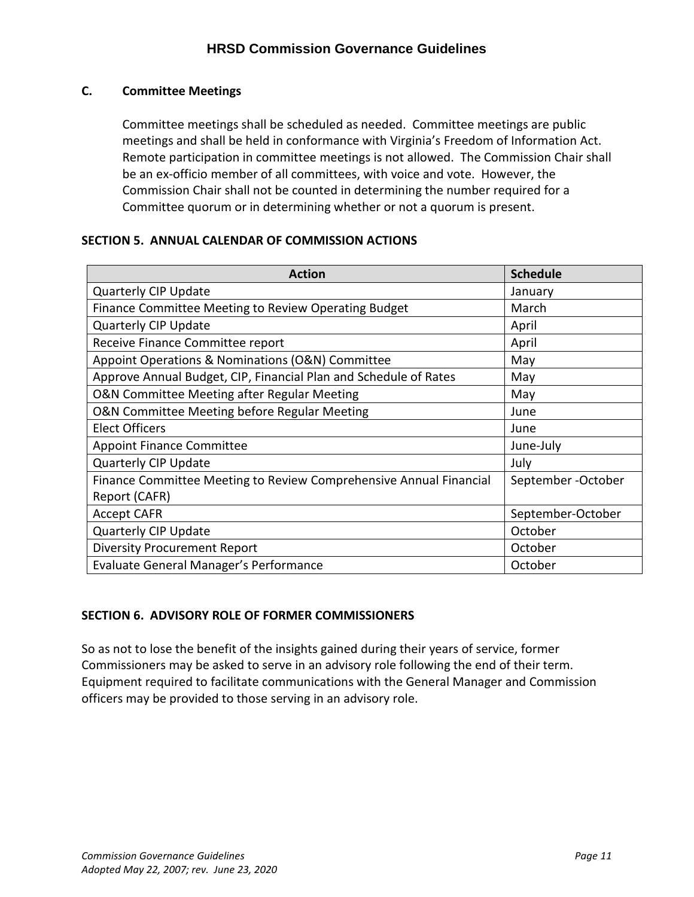## **C. Committee Meetings**

Committee meetings shall be scheduled as needed. Committee meetings are public meetings and shall be held in conformance with Virginia's Freedom of Information Act. Remote participation in committee meetings is not allowed. The Commission Chair shall be an ex-officio member of all committees, with voice and vote. However, the Commission Chair shall not be counted in determining the number required for a Committee quorum or in determining whether or not a quorum is present.

## **SECTION 5. ANNUAL CALENDAR OF COMMISSION ACTIONS**

| <b>Action</b>                                                      | <b>Schedule</b>   |
|--------------------------------------------------------------------|-------------------|
| Quarterly CIP Update                                               | January           |
| Finance Committee Meeting to Review Operating Budget               | March             |
| <b>Quarterly CIP Update</b>                                        | April             |
| Receive Finance Committee report                                   | April             |
| Appoint Operations & Nominations (O&N) Committee                   | May               |
| Approve Annual Budget, CIP, Financial Plan and Schedule of Rates   | May               |
| O&N Committee Meeting after Regular Meeting                        | May               |
| O&N Committee Meeting before Regular Meeting                       | June              |
| <b>Elect Officers</b>                                              | June              |
| <b>Appoint Finance Committee</b>                                   | June-July         |
| <b>Quarterly CIP Update</b>                                        | July              |
| Finance Committee Meeting to Review Comprehensive Annual Financial | September-October |
| Report (CAFR)                                                      |                   |
| <b>Accept CAFR</b>                                                 | September-October |
| <b>Quarterly CIP Update</b>                                        | October           |
| <b>Diversity Procurement Report</b>                                | October           |
| Evaluate General Manager's Performance                             | October           |

## **SECTION 6. ADVISORY ROLE OF FORMER COMMISSIONERS**

So as not to lose the benefit of the insights gained during their years of service, former Commissioners may be asked to serve in an advisory role following the end of their term. Equipment required to facilitate communications with the General Manager and Commission officers may be provided to those serving in an advisory role.